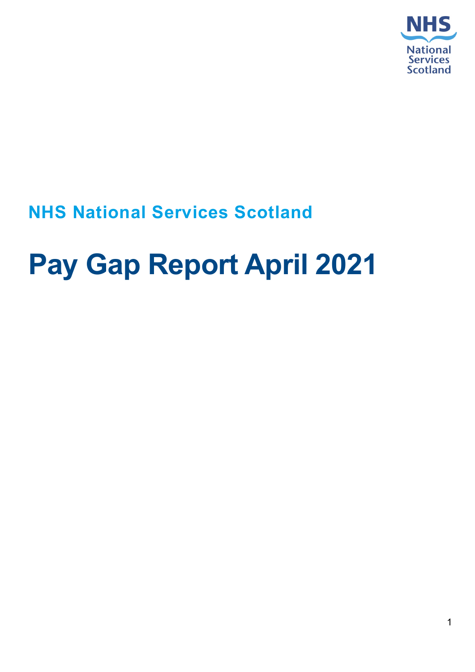

# **NHS National Services Scotland**

# **Pay Gap Report April 2021**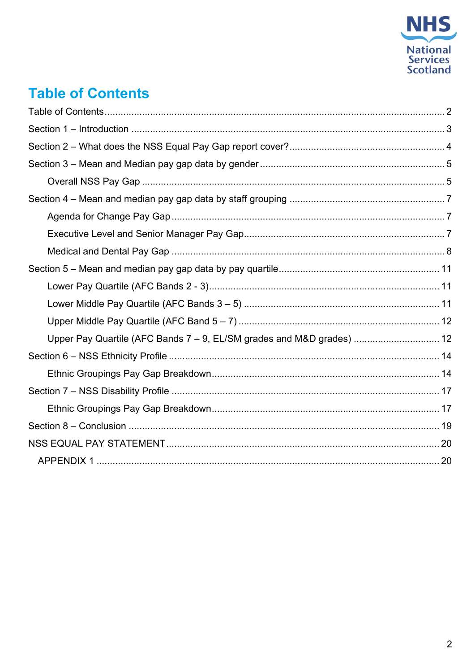

## <span id="page-1-0"></span>**Table of Contents**

| Upper Pay Quartile (AFC Bands 7 - 9, EL/SM grades and M&D grades)  12 |  |
|-----------------------------------------------------------------------|--|
|                                                                       |  |
|                                                                       |  |
|                                                                       |  |
|                                                                       |  |
|                                                                       |  |
|                                                                       |  |
|                                                                       |  |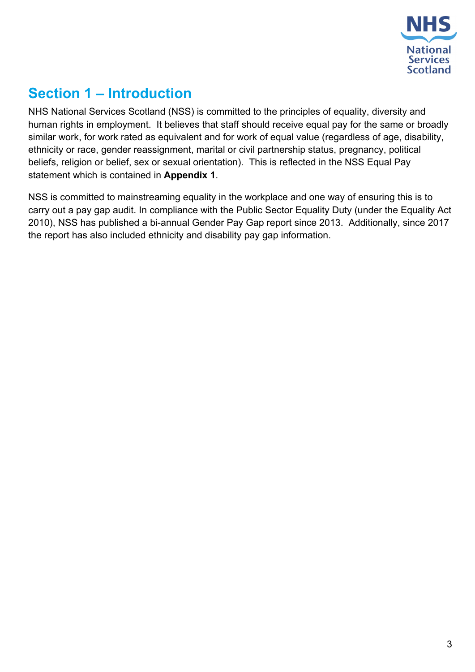

#### <span id="page-2-0"></span>**Section 1 – Introduction**

NHS National Services Scotland (NSS) is committed to the principles of equality, diversity and human rights in employment. It believes that staff should receive equal pay for the same or broadly similar work, for work rated as equivalent and for work of equal value (regardless of age, disability, ethnicity or race, gender reassignment, marital or civil partnership status, pregnancy, political beliefs, religion or belief, sex or sexual orientation). This is reflected in the NSS Equal Pay statement which is contained in **Appendix 1**.

NSS is committed to mainstreaming equality in the workplace and one way of ensuring this is to carry out a pay gap audit. In compliance with the Public Sector Equality Duty (under the Equality Act 2010), NSS has published a bi-annual Gender Pay Gap report since 2013. Additionally, since 2017 the report has also included ethnicity and disability pay gap information.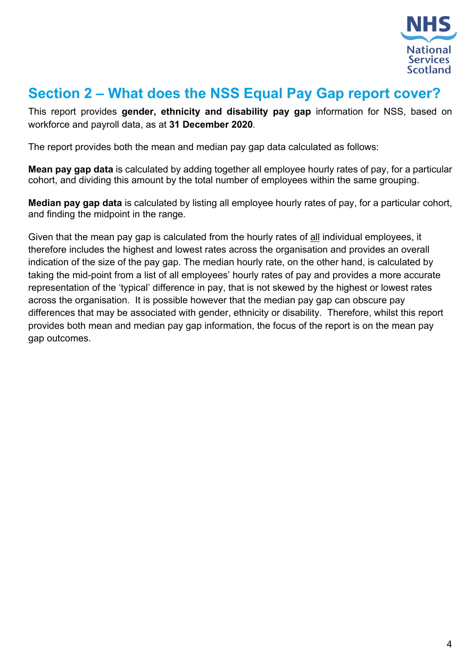

#### <span id="page-3-0"></span>**Section 2 – What does the NSS Equal Pay Gap report cover?**

This report provides **gender, ethnicity and disability pay gap** information for NSS, based on workforce and payroll data, as at **31 December 2020**.

The report provides both the mean and median pay gap data calculated as follows:

**Mean pay gap data** is calculated by adding together all employee hourly rates of pay, for a particular cohort, and dividing this amount by the total number of employees within the same grouping.

**Median pay gap data** is calculated by listing all employee hourly rates of pay, for a particular cohort, and finding the midpoint in the range.

Given that the mean pay gap is calculated from the hourly rates of all individual employees, it therefore includes the highest and lowest rates across the organisation and provides an overall indication of the size of the pay gap. The median hourly rate, on the other hand, is calculated by taking the mid-point from a list of all employees' hourly rates of pay and provides a more accurate representation of the 'typical' difference in pay, that is not skewed by the highest or lowest rates across the organisation. It is possible however that the median pay gap can obscure pay differences that may be associated with gender, ethnicity or disability. Therefore, whilst this report provides both mean and median pay gap information, the focus of the report is on the mean pay gap outcomes.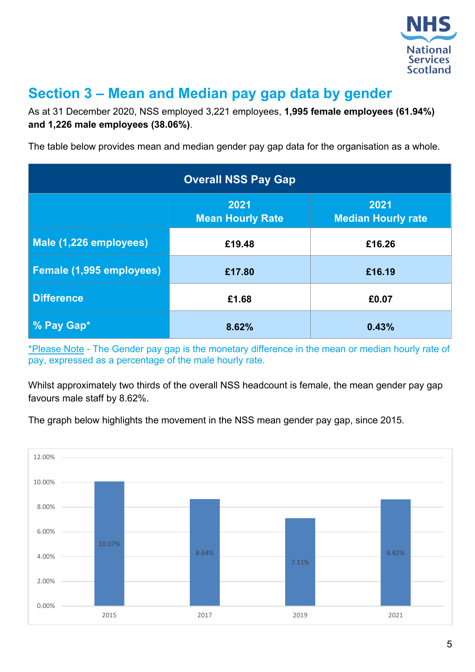

#### <span id="page-4-0"></span>**Section 3 – Mean and Median pay gap data by gender**

As at 31 December 2020, NSS employed 3,221 employees, **1,995 female employees (61.94%) and 1,226 male employees (38.06%)**.

The table below provides mean and median gender pay gap data for the organisation as a whole.

<span id="page-4-1"></span>

| <b>Overall NSS Pay Gap</b> |                                 |                                   |  |  |
|----------------------------|---------------------------------|-----------------------------------|--|--|
|                            | 2021<br><b>Mean Hourly Rate</b> | 2021<br><b>Median Hourly rate</b> |  |  |
| Male (1,226 employees)     | £19.48                          | £16.26                            |  |  |
| Female (1,995 employees)   | £17.80                          | £16.19                            |  |  |
| <b>Difference</b>          | £1.68                           | £0.07                             |  |  |
| % Pay Gap*                 | 8.62%                           | 0.43%                             |  |  |

\*Please Note - The Gender pay gap is the monetary difference in the mean or median hourly rate of pay, expressed as a percentage of the male hourly rate.

Whilst approximately two thirds of the overall NSS headcount is female, the mean gender pay gap favours male staff by 8.62%.

The graph below highlights the movement in the NSS mean gender pay gap, since 2015.

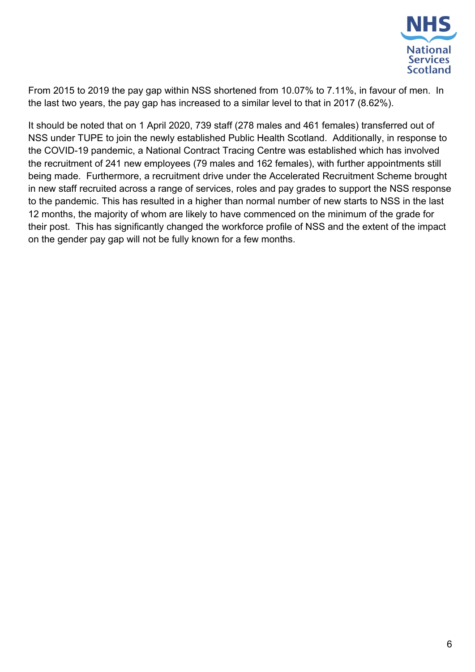

From 2015 to 2019 the pay gap within NSS shortened from 10.07% to 7.11%, in favour of men. In the last two years, the pay gap has increased to a similar level to that in 2017 (8.62%).

It should be noted that on 1 April 2020, 739 staff (278 males and 461 females) transferred out of NSS under TUPE to join the newly established Public Health Scotland. Additionally, in response to the COVID-19 pandemic, a National Contract Tracing Centre was established which has involved the recruitment of 241 new employees (79 males and 162 females), with further appointments still being made. Furthermore, a recruitment drive under the Accelerated Recruitment Scheme brought in new staff recruited across a range of services, roles and pay grades to support the NSS response to the pandemic. This has resulted in a higher than normal number of new starts to NSS in the last 12 months, the majority of whom are likely to have commenced on the minimum of the grade for their post. This has significantly changed the workforce profile of NSS and the extent of the impact on the gender pay gap will not be fully known for a few months.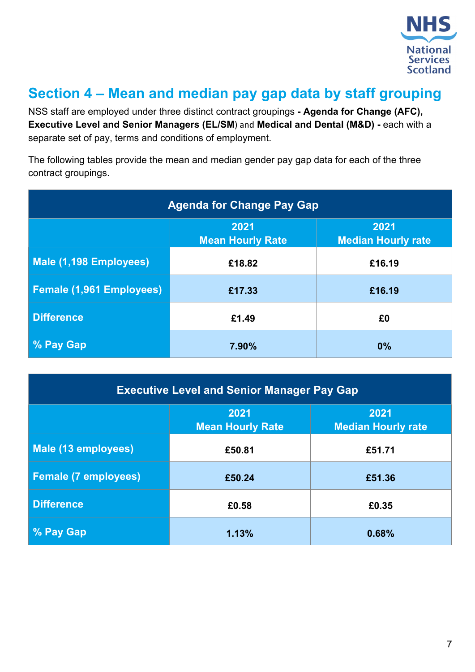

#### <span id="page-6-0"></span>**Section 4 – Mean and median pay gap data by staff grouping**

NSS staff are employed under three distinct contract groupings **- Agenda for Change (AFC), Executive Level and Senior Managers (EL/SM**) and **Medical and Dental (M&D) -** each with a separate set of pay, terms and conditions of employment.

The following tables provide the mean and median gender pay gap data for each of the three contract groupings.

<span id="page-6-1"></span>

| <b>Agenda for Change Pay Gap</b> |                                                                      |        |  |  |  |
|----------------------------------|----------------------------------------------------------------------|--------|--|--|--|
|                                  | 2021<br>2021<br><b>Mean Hourly Rate</b><br><b>Median Hourly rate</b> |        |  |  |  |
| Male (1,198 Employees)           | £18.82                                                               | £16.19 |  |  |  |
| <b>Female (1,961 Employees)</b>  | £17.33                                                               | £16.19 |  |  |  |
| <b>Difference</b>                | £1.49                                                                | £0     |  |  |  |
| <b>% Pay Gap</b>                 | 7.90%                                                                | 0%     |  |  |  |

<span id="page-6-2"></span>

| <b>Executive Level and Senior Manager Pay Gap</b> |                                                                      |        |  |  |  |  |
|---------------------------------------------------|----------------------------------------------------------------------|--------|--|--|--|--|
|                                                   | 2021<br>2021<br><b>Mean Hourly Rate</b><br><b>Median Hourly rate</b> |        |  |  |  |  |
| Male (13 employees)                               | £50.81                                                               | £51.71 |  |  |  |  |
| <b>Female (7 employees)</b>                       | £50.24                                                               | £51.36 |  |  |  |  |
| <b>Difference</b>                                 | £0.58                                                                | £0.35  |  |  |  |  |
| <b>% Pay Gap</b>                                  | 1.13%                                                                | 0.68%  |  |  |  |  |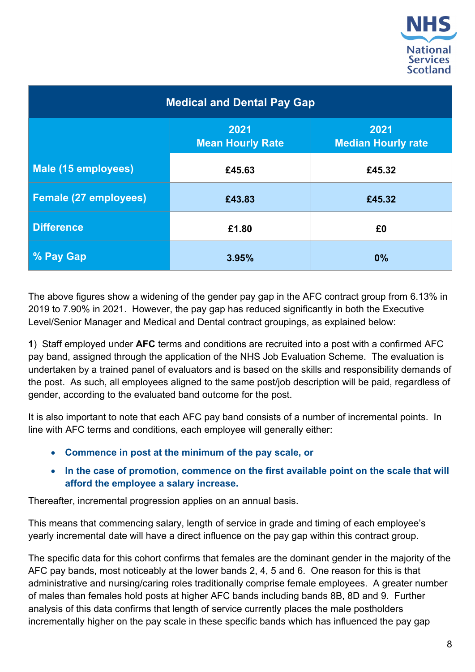

<span id="page-7-0"></span>

| <b>Medical and Dental Pay Gap</b> |                                                                      |        |  |  |  |  |
|-----------------------------------|----------------------------------------------------------------------|--------|--|--|--|--|
|                                   | 2021<br>2021<br><b>Mean Hourly Rate</b><br><b>Median Hourly rate</b> |        |  |  |  |  |
| Male (15 employees)               | £45.63                                                               | £45.32 |  |  |  |  |
| <b>Female (27 employees)</b>      | £43.83                                                               | £45.32 |  |  |  |  |
| <b>Difference</b>                 | £1.80                                                                | £0     |  |  |  |  |
| % Pay Gap                         | 3.95%                                                                | 0%     |  |  |  |  |

The above figures show a widening of the gender pay gap in the AFC contract group from 6.13% in 2019 to 7.90% in 2021. However, the pay gap has reduced significantly in both the Executive Level/Senior Manager and Medical and Dental contract groupings, as explained below:

**1**) Staff employed under **AFC** terms and conditions are recruited into a post with a confirmed AFC pay band, assigned through the application of the NHS Job Evaluation Scheme. The evaluation is undertaken by a trained panel of evaluators and is based on the skills and responsibility demands of the post. As such, all employees aligned to the same post/job description will be paid, regardless of gender, according to the evaluated band outcome for the post.

It is also important to note that each AFC pay band consists of a number of incremental points. In line with AFC terms and conditions, each employee will generally either:

- **Commence in post at the minimum of the pay scale, or**
- **In the case of promotion, commence on the first available point on the scale that will afford the employee a salary increase.**

Thereafter, incremental progression applies on an annual basis.

This means that commencing salary, length of service in grade and timing of each employee's yearly incremental date will have a direct influence on the pay gap within this contract group.

The specific data for this cohort confirms that females are the dominant gender in the majority of the AFC pay bands, most noticeably at the lower bands 2, 4, 5 and 6. One reason for this is that administrative and nursing/caring roles traditionally comprise female employees. A greater number of males than females hold posts at higher AFC bands including bands 8B, 8D and 9. Further analysis of this data confirms that length of service currently places the male postholders incrementally higher on the pay scale in these specific bands which has influenced the pay gap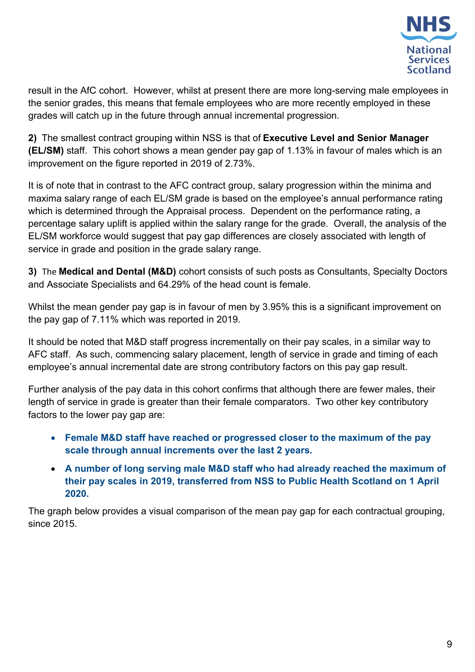

result in the AfC cohort. However, whilst at present there are more long-serving male employees in the senior grades, this means that female employees who are more recently employed in these grades will catch up in the future through annual incremental progression.

**2)** The smallest contract grouping within NSS is that of **Executive Level and Senior Manager (EL/SM)** staff. This cohort shows a mean gender pay gap of 1.13% in favour of males which is an improvement on the figure reported in 2019 of 2.73%.

It is of note that in contrast to the AFC contract group, salary progression within the minima and maxima salary range of each EL/SM grade is based on the employee's annual performance rating which is determined through the Appraisal process. Dependent on the performance rating, a percentage salary uplift is applied within the salary range for the grade. Overall, the analysis of the EL/SM workforce would suggest that pay gap differences are closely associated with length of service in grade and position in the grade salary range.

**3)** The **Medical and Dental (M&D)** cohort consists of such posts as Consultants, Specialty Doctors and Associate Specialists and 64.29% of the head count is female.

Whilst the mean gender pay gap is in favour of men by 3.95% this is a significant improvement on the pay gap of 7.11% which was reported in 2019.

It should be noted that M&D staff progress incrementally on their pay scales, in a similar way to AFC staff. As such, commencing salary placement, length of service in grade and timing of each employee's annual incremental date are strong contributory factors on this pay gap result.

Further analysis of the pay data in this cohort confirms that although there are fewer males, their length of service in grade is greater than their female comparators. Two other key contributory factors to the lower pay gap are:

- **Female M&D staff have reached or progressed closer to the maximum of the pay scale through annual increments over the last 2 years.**
- **A number of long serving male M&D staff who had already reached the maximum of their pay scales in 2019, transferred from NSS to Public Health Scotland on 1 April 2020.**

The graph below provides a visual comparison of the mean pay gap for each contractual grouping, since 2015.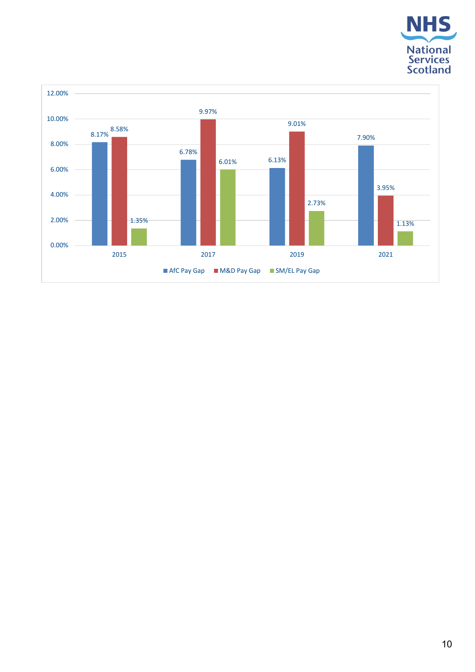

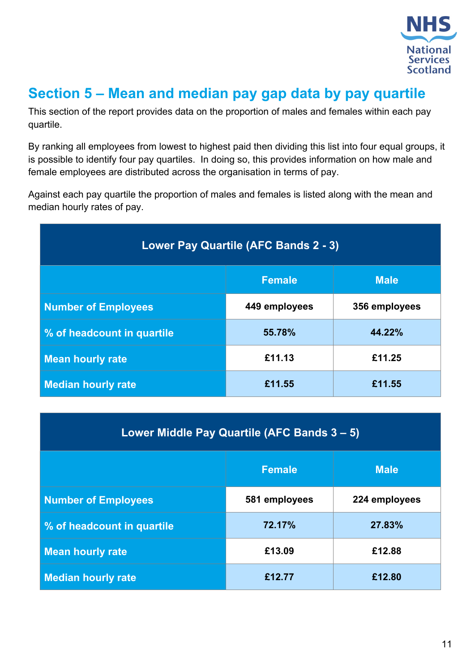

#### <span id="page-10-0"></span>**Section 5 – Mean and median pay gap data by pay quartile**

This section of the report provides data on the proportion of males and females within each pay quartile.

By ranking all employees from lowest to highest paid then dividing this list into four equal groups, it is possible to identify four pay quartiles. In doing so, this provides information on how male and female employees are distributed across the organisation in terms of pay.

Against each pay quartile the proportion of males and females is listed along with the mean and median hourly rates of pay.

<span id="page-10-1"></span>

| Lower Pay Quartile (AFC Bands 2 - 3) |               |               |  |  |  |  |
|--------------------------------------|---------------|---------------|--|--|--|--|
| <b>Female</b><br><b>Male</b>         |               |               |  |  |  |  |
| <b>Number of Employees</b>           | 449 employees | 356 employees |  |  |  |  |
| % of headcount in quartile           | 55.78%        | 44.22%        |  |  |  |  |
| <b>Mean hourly rate</b>              | £11.13        | £11.25        |  |  |  |  |
| <b>Median hourly rate</b>            | £11.55        | £11.55        |  |  |  |  |

<span id="page-10-2"></span>

| Lower Middle Pay Quartile (AFC Bands 3 - 5) |               |               |  |  |  |  |
|---------------------------------------------|---------------|---------------|--|--|--|--|
| <b>Female</b><br><b>Male</b>                |               |               |  |  |  |  |
| <b>Number of Employees</b>                  | 581 employees | 224 employees |  |  |  |  |
| % of headcount in quartile                  | 72.17%        | 27.83%        |  |  |  |  |
| <b>Mean hourly rate</b>                     | £13.09        | £12.88        |  |  |  |  |
| <b>Median hourly rate</b>                   | £12.77        | £12.80        |  |  |  |  |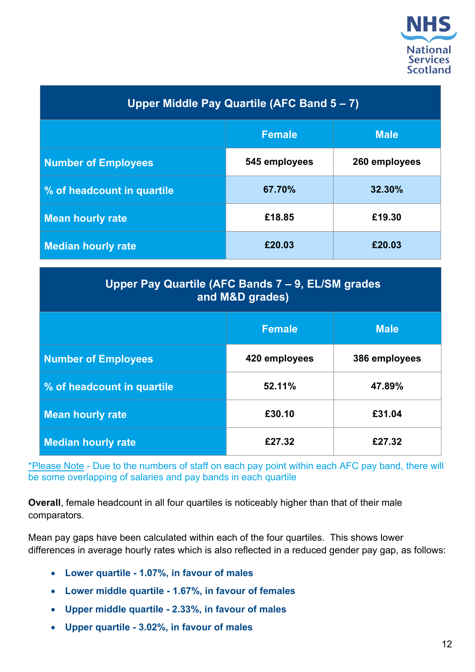

<span id="page-11-0"></span>

| Upper Middle Pay Quartile (AFC Band 5 - 7) |               |               |  |  |  |  |
|--------------------------------------------|---------------|---------------|--|--|--|--|
| <b>Male</b><br><b>Female</b>               |               |               |  |  |  |  |
| <b>Number of Employees</b>                 | 545 employees | 260 employees |  |  |  |  |
| % of headcount in quartile                 | 67.70%        | 32.30%        |  |  |  |  |
| <b>Mean hourly rate</b>                    | £18.85        | £19.30        |  |  |  |  |
| <b>Median hourly rate</b>                  | £20.03        | £20.03        |  |  |  |  |

#### **Upper Pay Quartile (AFC Bands 7 – 9, EL/SM grades and M&D grades)**

<span id="page-11-1"></span>

|                            | <b>Female</b> | <b>Male</b>   |
|----------------------------|---------------|---------------|
| <b>Number of Employees</b> | 420 employees | 386 employees |
| % of headcount in quartile | 52.11%        | 47.89%        |
| <b>Mean hourly rate</b>    | £30.10        | £31.04        |
| <b>Median hourly rate</b>  | £27.32        | £27.32        |

\*Please Note - Due to the numbers of staff on each pay point within each AFC pay band, there will be some overlapping of salaries and pay bands in each quartile

**Overall**, female headcount in all four quartiles is noticeably higher than that of their male comparators.

Mean pay gaps have been calculated within each of the four quartiles. This shows lower differences in average hourly rates which is also reflected in a reduced gender pay gap, as follows:

- **Lower quartile - 1.07%, in favour of males**
- **Lower middle quartile - 1.67%, in favour of females**
- **Upper middle quartile - 2.33%, in favour of males**
- **Upper quartile - 3.02%, in favour of males**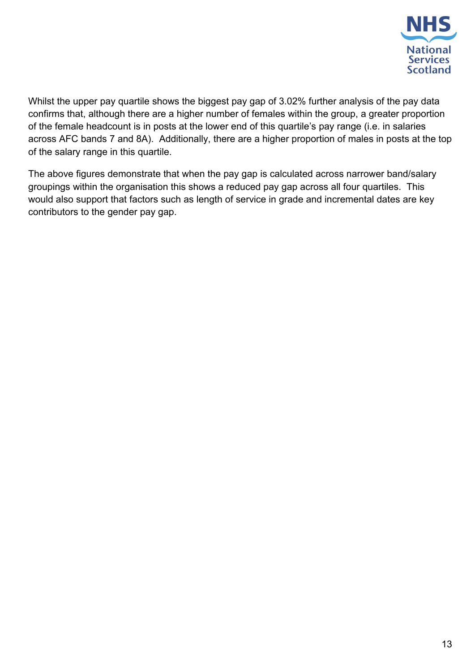

Whilst the upper pay quartile shows the biggest pay gap of 3.02% further analysis of the pay data confirms that, although there are a higher number of females within the group, a greater proportion of the female headcount is in posts at the lower end of this quartile's pay range (i.e. in salaries across AFC bands 7 and 8A). Additionally, there are a higher proportion of males in posts at the top of the salary range in this quartile.

The above figures demonstrate that when the pay gap is calculated across narrower band/salary groupings within the organisation this shows a reduced pay gap across all four quartiles. This would also support that factors such as length of service in grade and incremental dates are key contributors to the gender pay gap.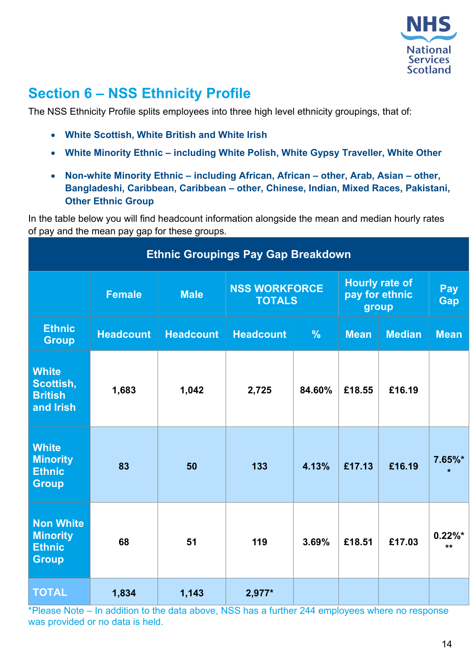

## <span id="page-13-0"></span>**Section 6 – NSS Ethnicity Profile**

The NSS Ethnicity Profile splits employees into three high level ethnicity groupings, that of:

- **White Scottish, White British and White Irish**
- **White Minority Ethnic – including White Polish, White Gypsy Traveller, White Other**
- **Non-white Minority Ethnic – including African, African – other, Arab, Asian – other, Bangladeshi, Caribbean, Caribbean – other, Chinese, Indian, Mixed Races, Pakistani, Other Ethnic Group**

In the table below you will find headcount information alongside the mean and median hourly rates of pay and the mean pay gap for these groups.

<span id="page-13-1"></span>

| <b>Ethnic Groupings Pay Gap Breakdown</b>                            |                  |                  |                                       |               |                                                  |               |                     |                   |
|----------------------------------------------------------------------|------------------|------------------|---------------------------------------|---------------|--------------------------------------------------|---------------|---------------------|-------------------|
|                                                                      | <b>Female</b>    | <b>Male</b>      | <b>NSS WORKFORCE</b><br><b>TOTALS</b> |               | <b>Hourly rate of</b><br>pay for ethnic<br>group |               |                     | Pay<br><b>Gap</b> |
| <b>Ethnic</b><br><b>Group</b>                                        | <b>Headcount</b> | <b>Headcount</b> | <b>Headcount</b>                      | $\frac{9}{6}$ | <b>Mean</b>                                      | <b>Median</b> | <b>Mean</b>         |                   |
| <b>White</b><br>Scottish,<br><b>British</b><br>and Irish             | 1,683            | 1,042            | 2,725                                 | 84.60%        | £18.55                                           | £16.19        |                     |                   |
| <b>White</b><br><b>Minority</b><br><b>Ethnic</b><br><b>Group</b>     | 83               | 50               | 133                                   | 4.13%         | £17.13                                           | £16.19        | 7.65%*<br>$\star$   |                   |
| <b>Non White</b><br><b>Minority</b><br><b>Ethnic</b><br><b>Group</b> | 68               | 51               | 119                                   | 3.69%         | £18.51                                           | £17.03        | $0.22\%$ *<br>$***$ |                   |
| <b>TOTAL</b>                                                         | 1,834            | 1,143            | 2,977*                                |               |                                                  |               |                     |                   |

\*Please Note – In addition to the data above, NSS has a further 244 employees where no response was provided or no data is held.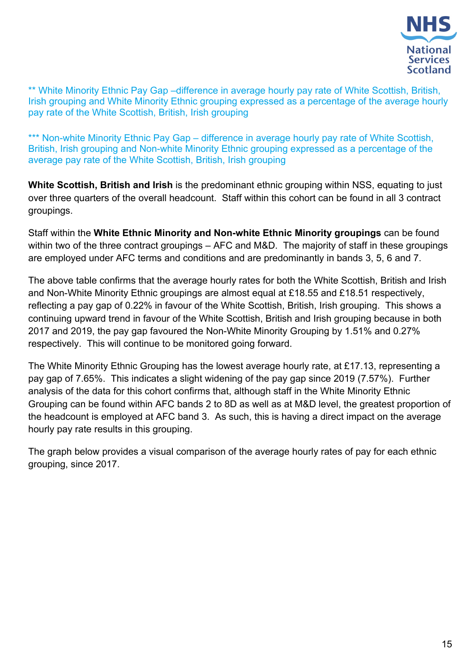

\*\* White Minority Ethnic Pay Gap –difference in average hourly pay rate of White Scottish, British, Irish grouping and White Minority Ethnic grouping expressed as a percentage of the average hourly pay rate of the White Scottish, British, Irish grouping

\*\*\* Non-white Minority Ethnic Pay Gap – difference in average hourly pay rate of White Scottish, British, Irish grouping and Non-white Minority Ethnic grouping expressed as a percentage of the average pay rate of the White Scottish, British, Irish grouping

**White Scottish, British and Irish** is the predominant ethnic grouping within NSS, equating to just over three quarters of the overall headcount. Staff within this cohort can be found in all 3 contract groupings.

Staff within the **White Ethnic Minority and Non-white Ethnic Minority groupings** can be found within two of the three contract groupings – AFC and M&D. The majority of staff in these groupings are employed under AFC terms and conditions and are predominantly in bands 3, 5, 6 and 7.

The above table confirms that the average hourly rates for both the White Scottish, British and Irish and Non-White Minority Ethnic groupings are almost equal at £18.55 and £18.51 respectively, reflecting a pay gap of 0.22% in favour of the White Scottish, British, Irish grouping. This shows a continuing upward trend in favour of the White Scottish, British and Irish grouping because in both 2017 and 2019, the pay gap favoured the Non-White Minority Grouping by 1.51% and 0.27% respectively. This will continue to be monitored going forward.

The White Minority Ethnic Grouping has the lowest average hourly rate, at £17.13, representing a pay gap of 7.65%. This indicates a slight widening of the pay gap since 2019 (7.57%). Further analysis of the data for this cohort confirms that, although staff in the White Minority Ethnic Grouping can be found within AFC bands 2 to 8D as well as at M&D level, the greatest proportion of the headcount is employed at AFC band 3. As such, this is having a direct impact on the average hourly pay rate results in this grouping.

The graph below provides a visual comparison of the average hourly rates of pay for each ethnic grouping, since 2017.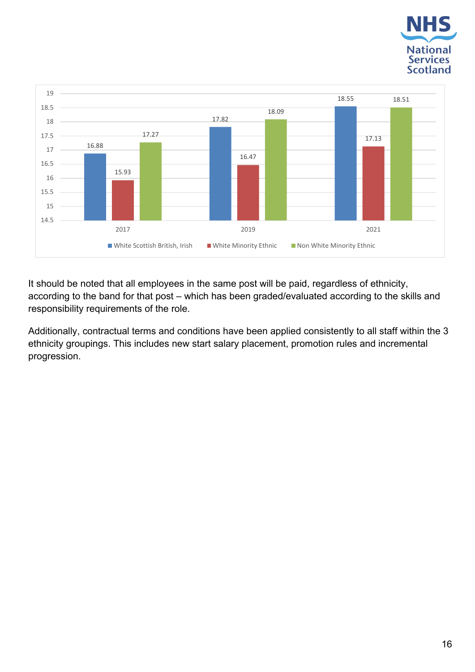



It should be noted that all employees in the same post will be paid, regardless of ethnicity, according to the band for that post – which has been graded/evaluated according to the skills and responsibility requirements of the role.

Additionally, contractual terms and conditions have been applied consistently to all staff within the 3 ethnicity groupings. This includes new start salary placement, promotion rules and incremental progression.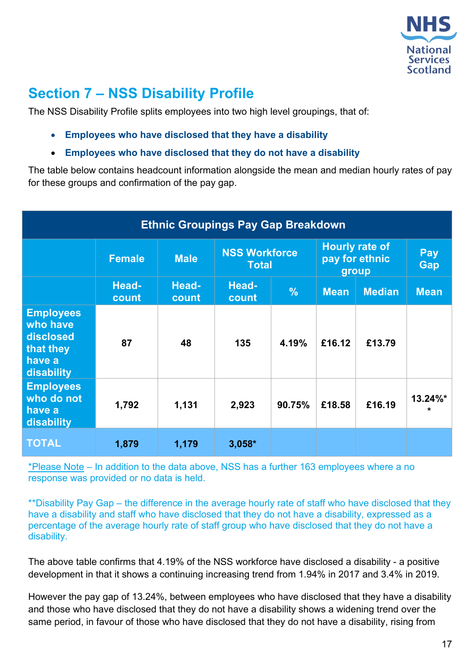

## <span id="page-16-0"></span>**Section 7 – NSS Disability Profile**

The NSS Disability Profile splits employees into two high level groupings, that of:

- **Employees who have disclosed that they have a disability**
- **Employees who have disclosed that they do not have a disability**

The table below contains headcount information alongside the mean and median hourly rates of pay for these groups and confirmation of the pay gap.

<span id="page-16-1"></span>

| <b>Ethnic Groupings Pay Gap Breakdown</b>                                      |                |                |                                      |               |             |                                                  |             |
|--------------------------------------------------------------------------------|----------------|----------------|--------------------------------------|---------------|-------------|--------------------------------------------------|-------------|
|                                                                                | <b>Female</b>  | <b>Male</b>    | <b>NSS Workforce</b><br><b>Total</b> |               |             | <b>Hourly rate of</b><br>pay for ethnic<br>group | Pay<br>Gap  |
|                                                                                | Head-<br>count | Head-<br>count | Head-<br>count                       | $\frac{9}{6}$ | <b>Mean</b> | <b>Median</b>                                    | <b>Mean</b> |
| <b>Employees</b><br>who have<br>disclosed<br>that they<br>have a<br>disability | 87             | 48             | 135                                  | 4.19%         | £16.12      | £13.79                                           |             |
| <b>Employees</b><br>who do not<br>have a<br>disability                         | 1,792          | 1,131          | 2,923                                | 90.75%        | £18.58      | £16.19                                           | 13.24%*     |
| <b>TOTAL</b>                                                                   | 1,879          | 1,179          | $3,058*$                             |               |             |                                                  |             |

\*Please Note – In addition to the data above, NSS has a further 163 employees where a no response was provided or no data is held.

\*\*Disability Pay Gap – the difference in the average hourly rate of staff who have disclosed that they have a disability and staff who have disclosed that they do not have a disability, expressed as a percentage of the average hourly rate of staff group who have disclosed that they do not have a disability.

The above table confirms that 4.19% of the NSS workforce have disclosed a disability - a positive development in that it shows a continuing increasing trend from 1.94% in 2017 and 3.4% in 2019.

However the pay gap of 13.24%, between employees who have disclosed that they have a disability and those who have disclosed that they do not have a disability shows a widening trend over the same period, in favour of those who have disclosed that they do not have a disability, rising from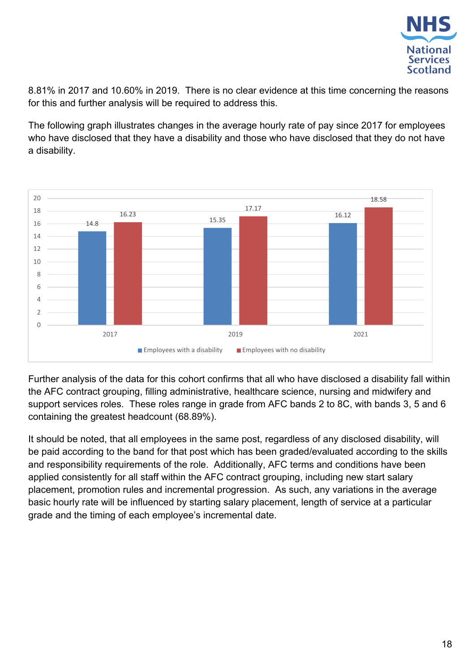

8.81% in 2017 and 10.60% in 2019. There is no clear evidence at this time concerning the reasons for this and further analysis will be required to address this.

The following graph illustrates changes in the average hourly rate of pay since 2017 for employees who have disclosed that they have a disability and those who have disclosed that they do not have a disability.



Further analysis of the data for this cohort confirms that all who have disclosed a disability fall within the AFC contract grouping, filling administrative, healthcare science, nursing and midwifery and support services roles. These roles range in grade from AFC bands 2 to 8C, with bands 3, 5 and 6 containing the greatest headcount (68.89%).

It should be noted, that all employees in the same post, regardless of any disclosed disability, will be paid according to the band for that post which has been graded/evaluated according to the skills and responsibility requirements of the role. Additionally, AFC terms and conditions have been applied consistently for all staff within the AFC contract grouping, including new start salary placement, promotion rules and incremental progression. As such, any variations in the average basic hourly rate will be influenced by starting salary placement, length of service at a particular grade and the timing of each employee's incremental date.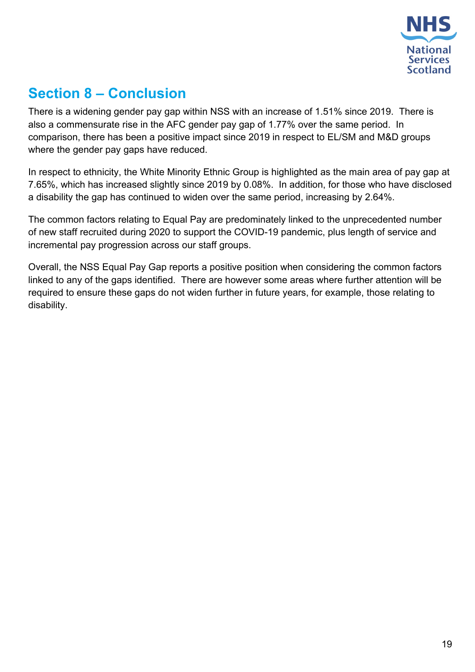

#### <span id="page-18-0"></span>**Section 8 – Conclusion**

There is a widening gender pay gap within NSS with an increase of 1.51% since 2019. There is also a commensurate rise in the AFC gender pay gap of 1.77% over the same period. In comparison, there has been a positive impact since 2019 in respect to EL/SM and M&D groups where the gender pay gaps have reduced.

In respect to ethnicity, the White Minority Ethnic Group is highlighted as the main area of pay gap at 7.65%, which has increased slightly since 2019 by 0.08%. In addition, for those who have disclosed a disability the gap has continued to widen over the same period, increasing by 2.64%.

The common factors relating to Equal Pay are predominately linked to the unprecedented number of new staff recruited during 2020 to support the COVID-19 pandemic, plus length of service and incremental pay progression across our staff groups.

Overall, the NSS Equal Pay Gap reports a positive position when considering the common factors linked to any of the gaps identified. There are however some areas where further attention will be required to ensure these gaps do not widen further in future years, for example, those relating to disability.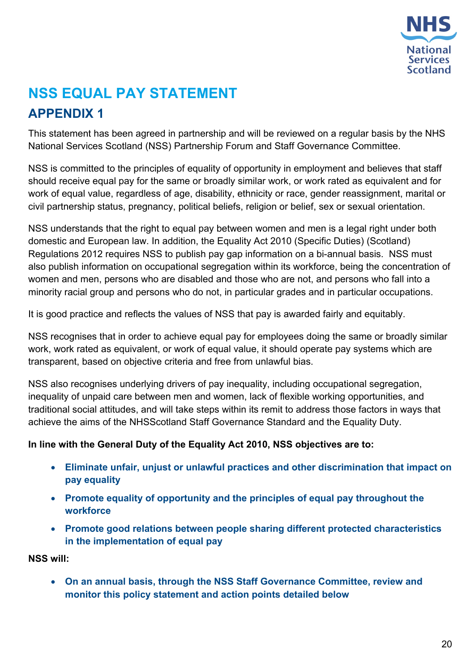

## <span id="page-19-0"></span>**NSS EQUAL PAY STATEMENT APPENDIX 1**

<span id="page-19-1"></span>This statement has been agreed in partnership and will be reviewed on a regular basis by the NHS National Services Scotland (NSS) Partnership Forum and Staff Governance Committee.

NSS is committed to the principles of equality of opportunity in employment and believes that staff should receive equal pay for the same or broadly similar work, or work rated as equivalent and for work of equal value, regardless of age, disability, ethnicity or race, gender reassignment, marital or civil partnership status, pregnancy, political beliefs, religion or belief, sex or sexual orientation.

NSS understands that the right to equal pay between women and men is a legal right under both domestic and European law. In addition, the Equality Act 2010 (Specific Duties) (Scotland) Regulations 2012 requires NSS to publish pay gap information on a bi-annual basis. NSS must also publish information on occupational segregation within its workforce, being the concentration of women and men, persons who are disabled and those who are not, and persons who fall into a minority racial group and persons who do not, in particular grades and in particular occupations.

It is good practice and reflects the values of NSS that pay is awarded fairly and equitably.

NSS recognises that in order to achieve equal pay for employees doing the same or broadly similar work, work rated as equivalent, or work of equal value, it should operate pay systems which are transparent, based on objective criteria and free from unlawful bias.

NSS also recognises underlying drivers of pay inequality, including occupational segregation, inequality of unpaid care between men and women, lack of flexible working opportunities, and traditional social attitudes, and will take steps within its remit to address those factors in ways that achieve the aims of the NHSScotland Staff Governance Standard and the Equality Duty.

#### **In line with the General Duty of the Equality Act 2010, NSS objectives are to:**

- **Eliminate unfair, unjust or unlawful practices and other discrimination that impact on pay equality**
- **Promote equality of opportunity and the principles of equal pay throughout the workforce**
- **Promote good relations between people sharing different protected characteristics in the implementation of equal pay**

**NSS will:**

• **On an annual basis, through the NSS Staff Governance Committee, review and monitor this policy statement and action points detailed below**